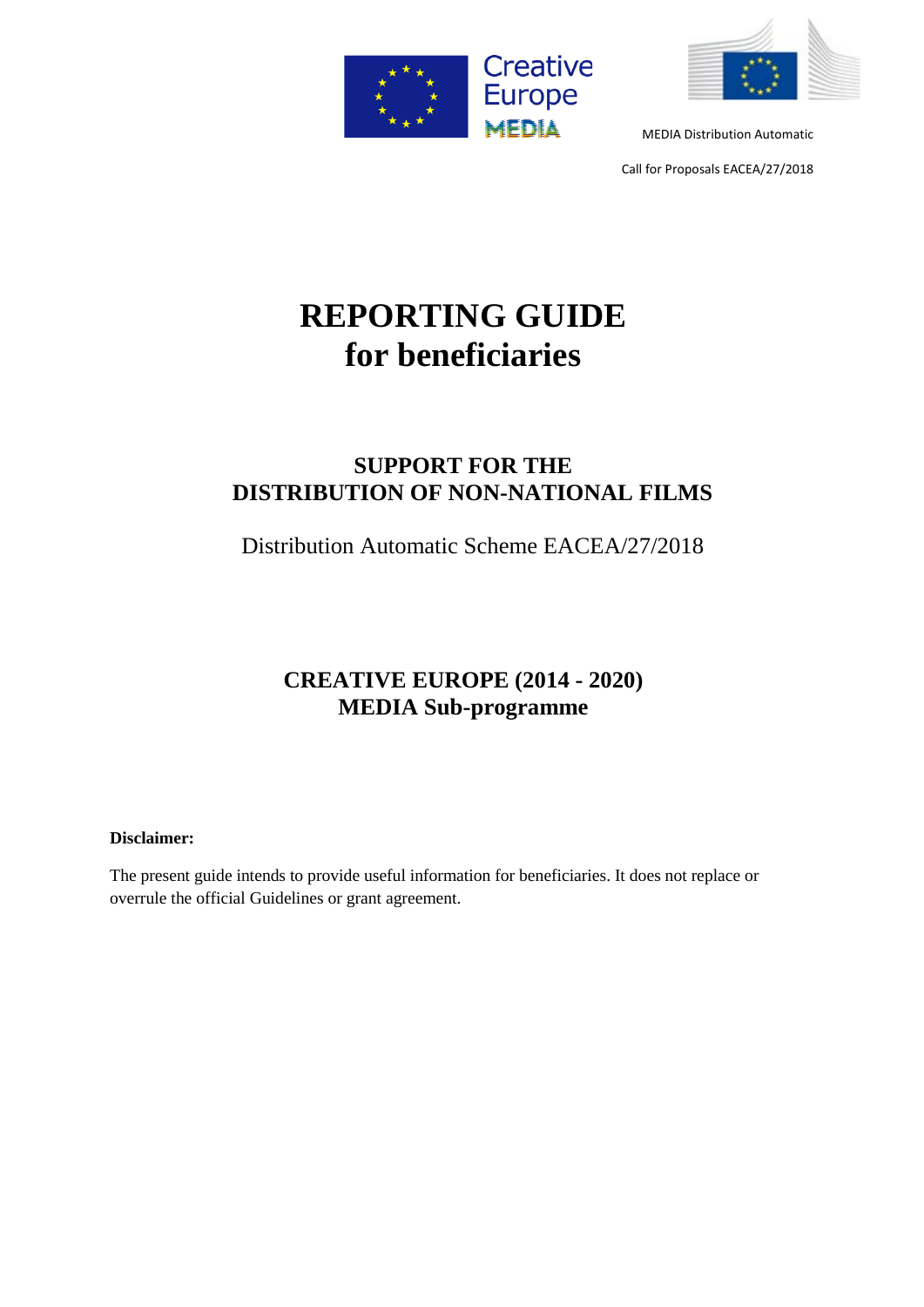



Call for Proposals EACEA/27/2018

# **REPORTING GUIDE for beneficiaries**

# **SUPPORT FOR THE DISTRIBUTION OF NON-NATIONAL FILMS**

Distribution Automatic Scheme EACEA/27/2018

# **CREATIVE EUROPE (2014 - 2020) MEDIA Sub-programme**

# **Disclaimer:**

The present guide intends to provide useful information for beneficiaries. It does not replace or overrule the official Guidelines or grant agreement.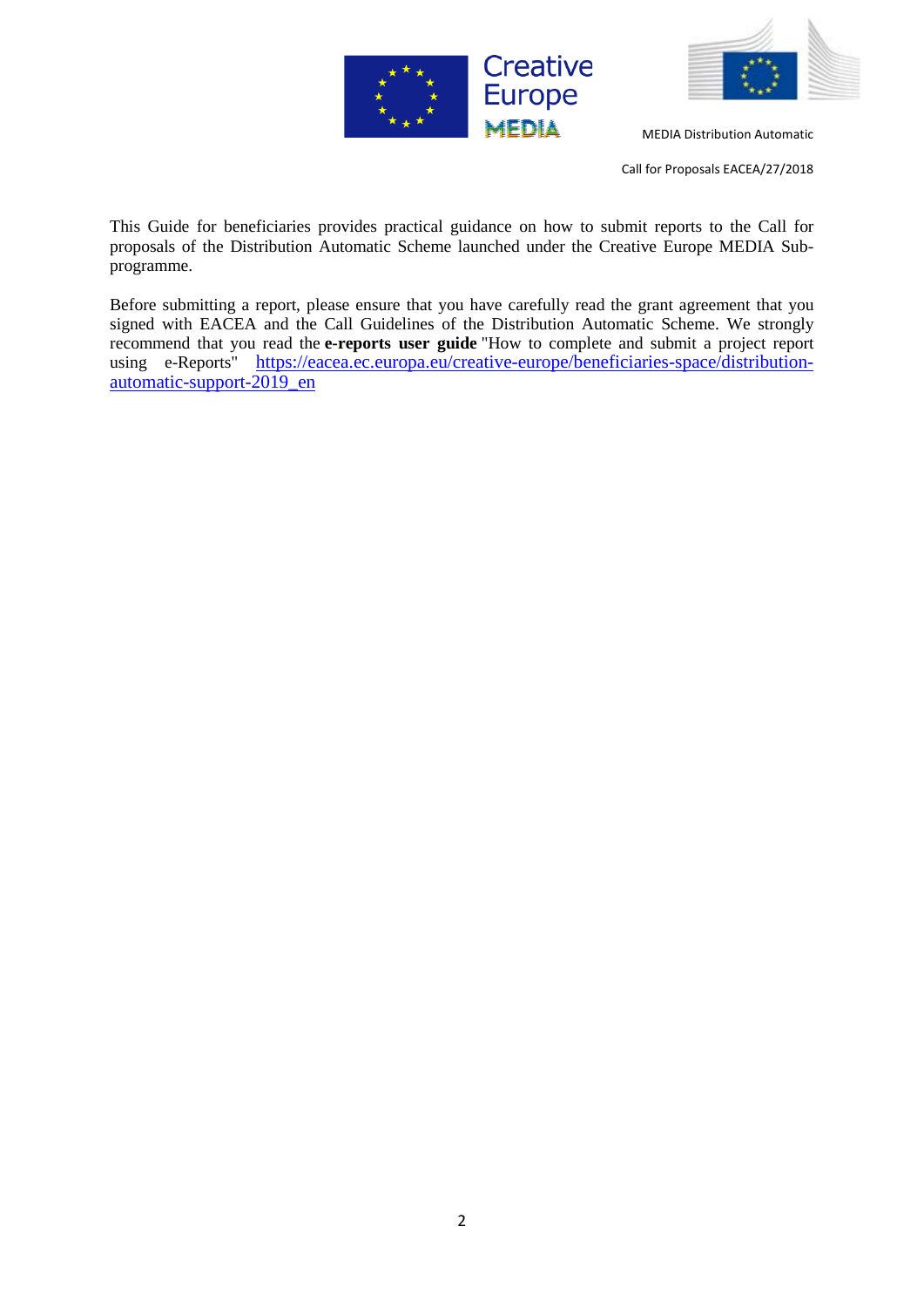



Call for Proposals EACEA/27/2018

This Guide for beneficiaries provides practical guidance on how to submit reports to the Call for proposals of the Distribution Automatic Scheme launched under the Creative Europe MEDIA Subprogramme.

Before submitting a report, please ensure that you have carefully read the grant agreement that you signed with EACEA and the Call Guidelines of the Distribution Automatic Scheme. We strongly recommend that you read the **e-reports user guide** "How to complete and submit a project report using e-Reports" [https://eacea.ec.europa.eu/creative-europe/beneficiaries-space/distribution](https://eacea.ec.europa.eu/creative-europe/beneficiaries-space/distribution-automatic-support-2019_en)[automatic-support-2019\\_en](https://eacea.ec.europa.eu/creative-europe/beneficiaries-space/distribution-automatic-support-2019_en)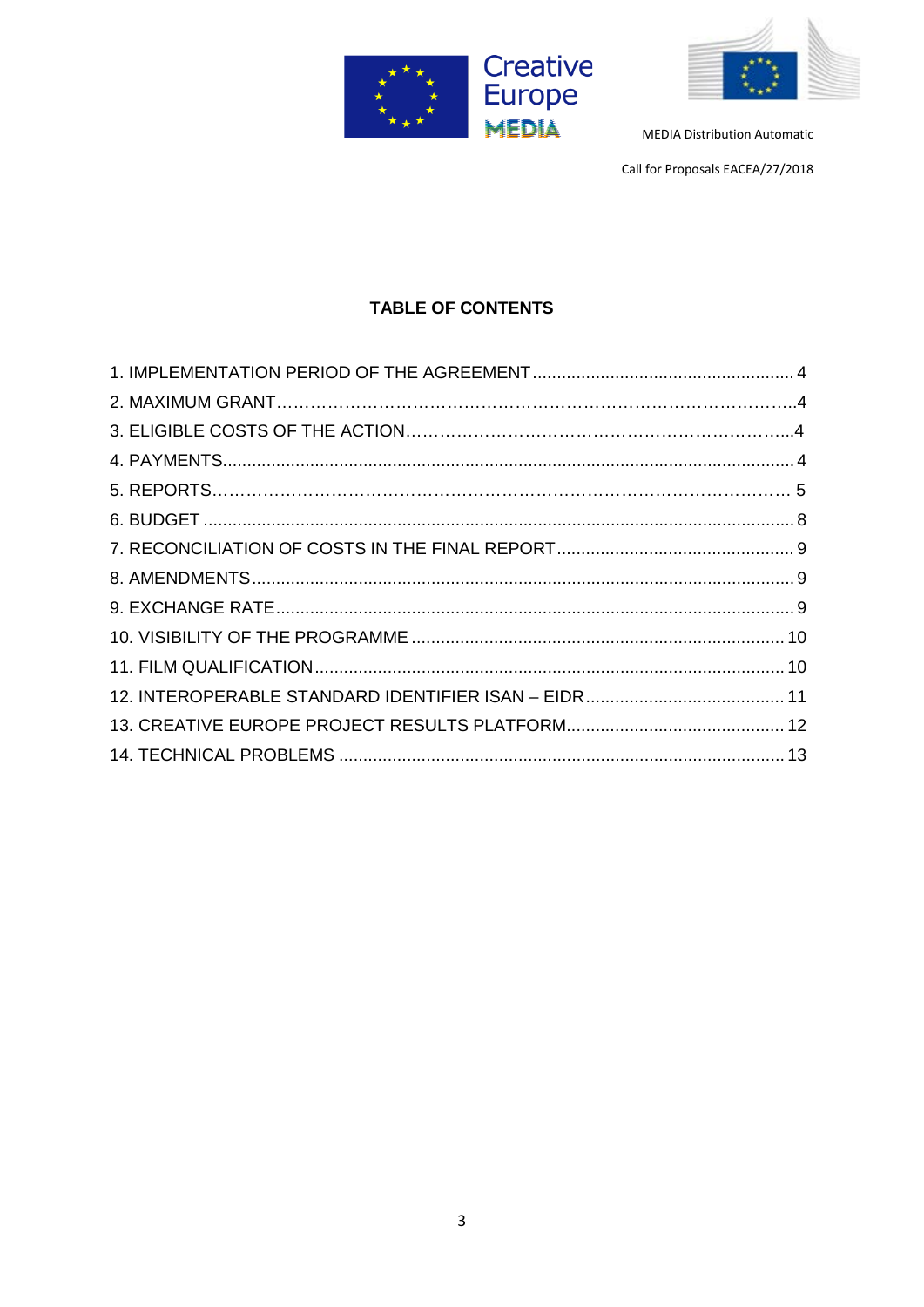



Call for Proposals EACEA/27/2018

# **TABLE OF CONTENTS**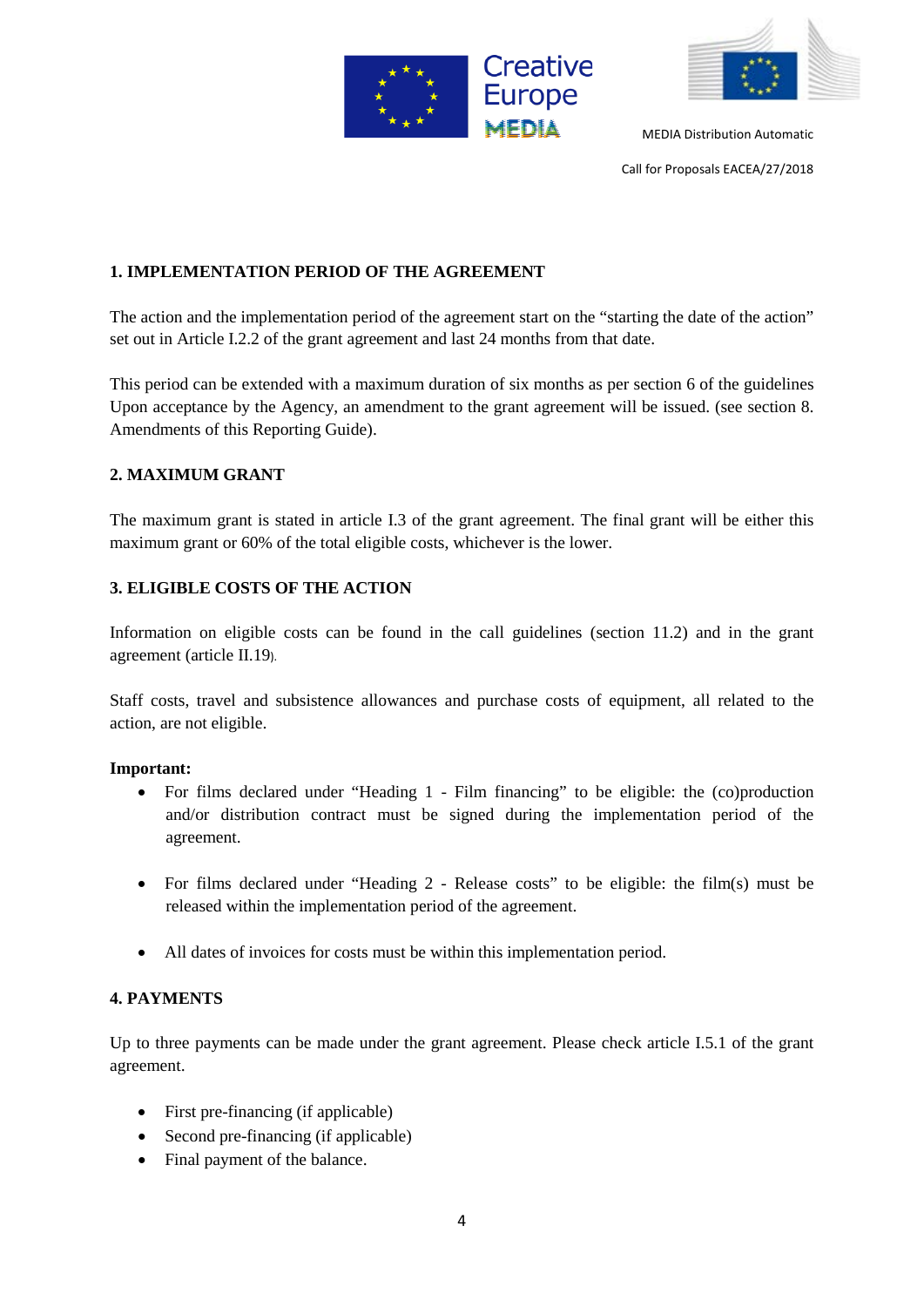



Call for Proposals EACEA/27/2018

# **1. IMPLEMENTATION PERIOD OF THE AGREEMENT**

The action and the implementation period of the agreement start on the "starting the date of the action" set out in Article I.2.2 of the grant agreement and last 24 months from that date.

This period can be extended with a maximum duration of six months as per section 6 of the guidelines Upon acceptance by the Agency, an amendment to the grant agreement will be issued. (see section 8. Amendments of this Reporting Guide).

# **2. MAXIMUM GRANT**

The maximum grant is stated in article I.3 of the grant agreement. The final grant will be either this maximum grant or 60% of the total eligible costs, whichever is the lower.

# **3. ELIGIBLE COSTS OF THE ACTION**

Information on eligible costs can be found in the call guidelines (section 11.2) and in the grant agreement (article II.19).

Staff costs, travel and subsistence allowances and purchase costs of equipment, all related to the action, are not eligible.

# **Important:**

- For films declared under "Heading 1 Film financing" to be eligible: the (co)production and/or distribution contract must be signed during the implementation period of the agreement.
- For films declared under "Heading 2 Release costs" to be eligible: the film(s) must be released within the implementation period of the agreement.
- All dates of invoices for costs must be within this implementation period.

# **4. PAYMENTS**

Up to three payments can be made under the grant agreement. Please check article I.5.1 of the grant agreement.

- First pre-financing (if applicable)
- Second pre-financing (if applicable)
- Final payment of the balance.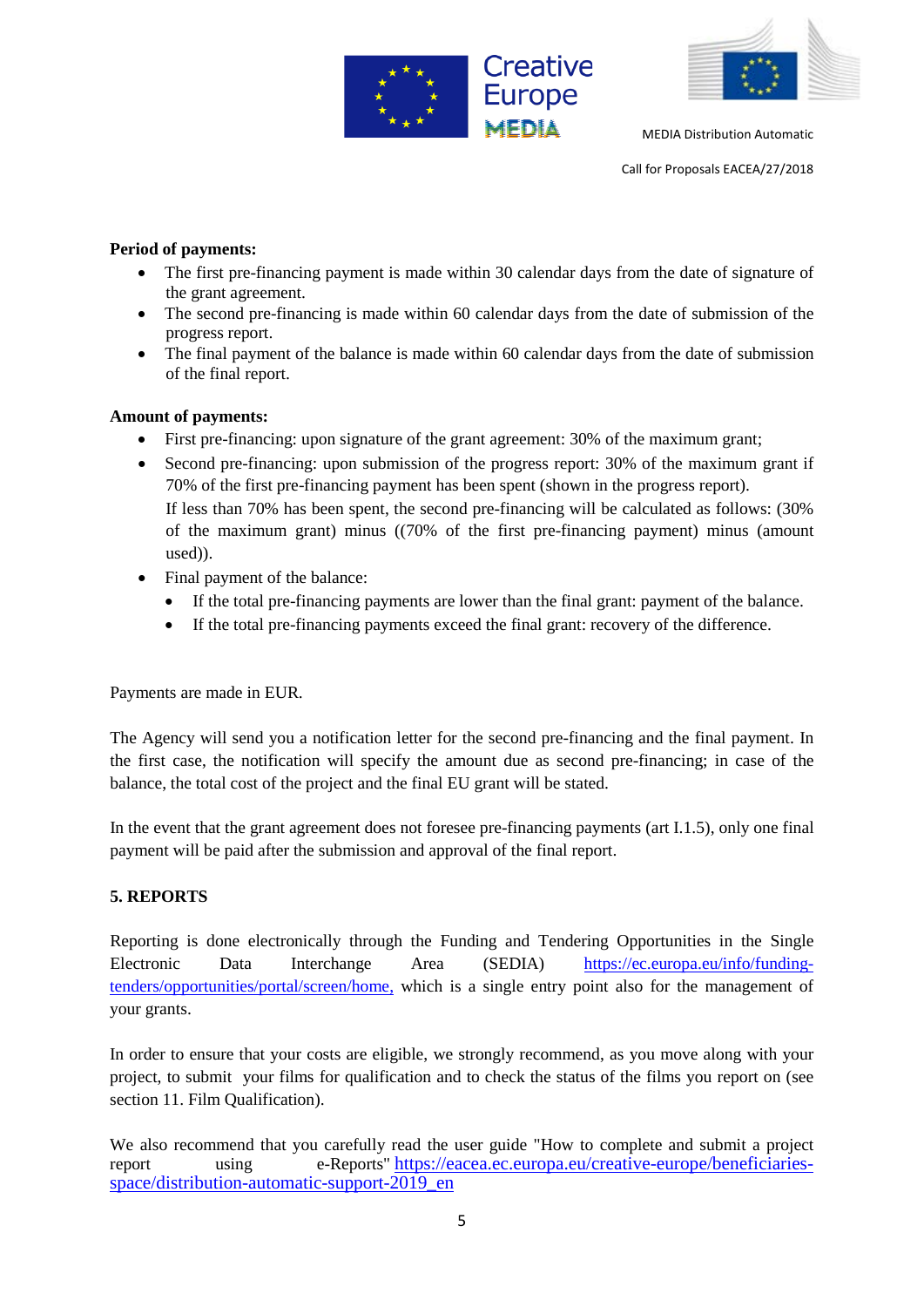



Call for Proposals EACEA/27/2018

# **Period of payments:**

- The first pre-financing payment is made within 30 calendar days from the date of signature of the grant agreement.
- The second pre-financing is made within 60 calendar days from the date of submission of the progress report.
- The final payment of the balance is made within 60 calendar days from the date of submission of the final report.

#### **Amount of payments:**

- First pre-financing: upon signature of the grant agreement: 30% of the maximum grant;
- Second pre-financing: upon submission of the progress report: 30% of the maximum grant if 70% of the first pre-financing payment has been spent (shown in the progress report). If less than 70% has been spent, the second pre-financing will be calculated as follows: (30% of the maximum grant) minus ((70% of the first pre-financing payment) minus (amount used)).
- Final payment of the balance:
	- If the total pre-financing payments are lower than the final grant: payment of the balance.
	- If the total pre-financing payments exceed the final grant: recovery of the difference.

Payments are made in EUR.

The Agency will send you a notification letter for the second pre-financing and the final payment. In the first case, the notification will specify the amount due as second pre-financing; in case of the balance, the total cost of the project and the final EU grant will be stated.

In the event that the grant agreement does not foresee pre-financing payments (art I.1.5), only one final payment will be paid after the submission and approval of the final report.

# **5. REPORTS**

Reporting is done electronically through the Funding and Tendering Opportunities in the Single Electronic Data Interchange Area (SEDIA) [https://ec.europa.eu/info/funding](https://ec.europa.eu/info/funding-tenders/opportunities/portal/screen/home)[tenders/opportunities/portal/screen/home,](https://ec.europa.eu/info/funding-tenders/opportunities/portal/screen/home) which is a single entry point also for the management of your grants.

In order to ensure that your costs are eligible, we strongly recommend, as you move along with your project, to submit your films for qualification and to check the status of the films you report on (see section 11. Film Qualification).

We also recommend that you carefully read the user guide "How to complete and submit a project report using e-Reports" [https://eacea.ec.europa.eu/creative-europe/beneficiaries](https://eacea.ec.europa.eu/creative-europe/beneficiaries-space/distribution-automatic-support-2019_en)[space/distribution-automatic-support-2019\\_en](https://eacea.ec.europa.eu/creative-europe/beneficiaries-space/distribution-automatic-support-2019_en)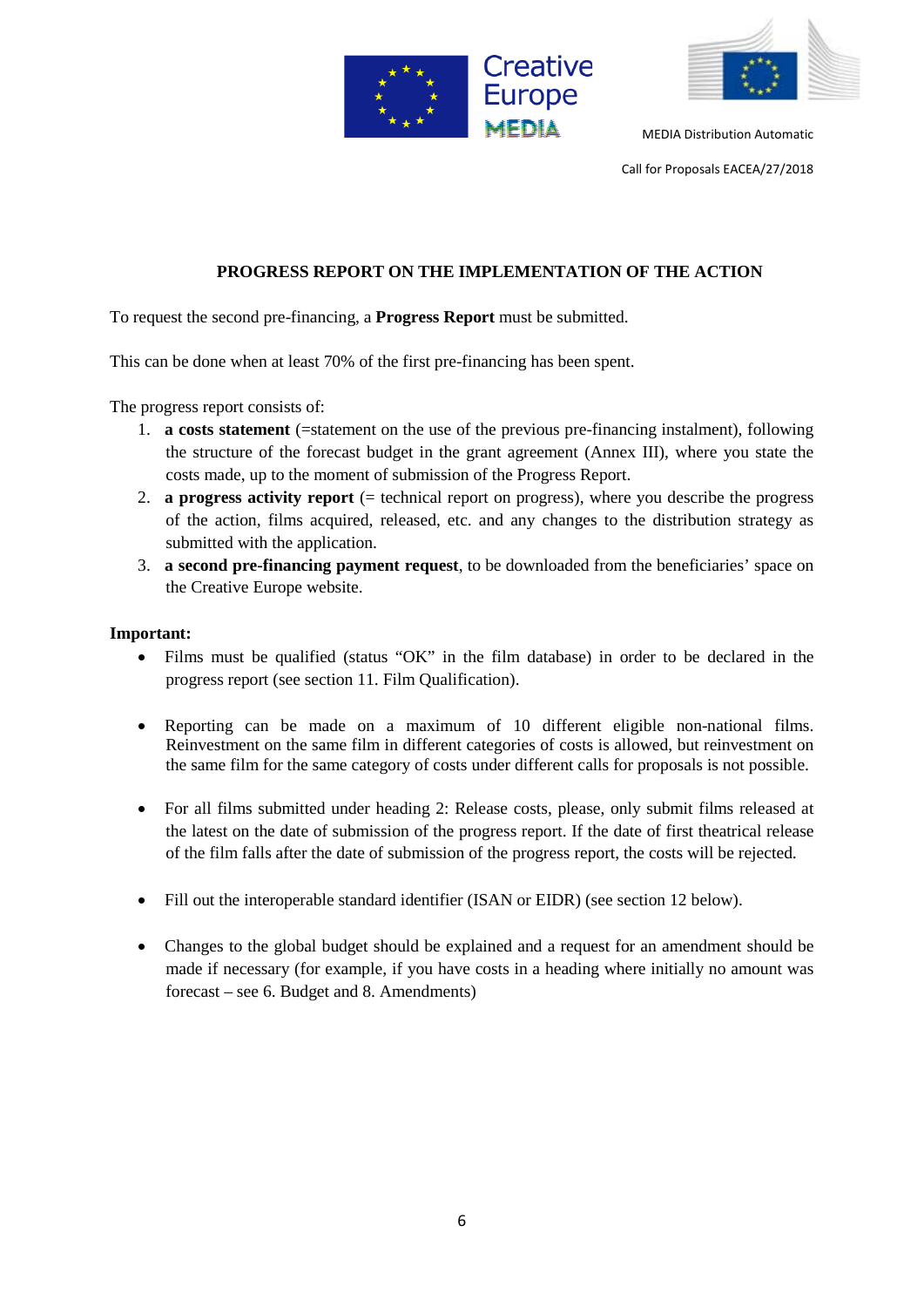



Call for Proposals EACEA/27/2018

# **PROGRESS REPORT ON THE IMPLEMENTATION OF THE ACTION**

To request the second pre-financing, a **Progress Report** must be submitted.

This can be done when at least 70% of the first pre-financing has been spent.

The progress report consists of:

- 1. **a costs statement** (=statement on the use of the previous pre-financing instalment), following the structure of the forecast budget in the grant agreement (Annex III), where you state the costs made, up to the moment of submission of the Progress Report.
- 2. **a progress activity report** (= technical report on progress), where you describe the progress of the action, films acquired, released, etc. and any changes to the distribution strategy as submitted with the application.
- 3. **a second pre-financing payment request**, to be downloaded from the beneficiaries' space on the Creative Europe website.

#### **Important:**

- Films must be qualified (status "OK" in the film database) in order to be declared in the progress report (see section 11. Film Qualification).
- Reporting can be made on a maximum of 10 different eligible non-national films. Reinvestment on the same film in different categories of costs is allowed, but reinvestment on the same film for the same category of costs under different calls for proposals is not possible.
- For all films submitted under heading 2: Release costs, please, only submit films released at the latest on the date of submission of the progress report. If the date of first theatrical release of the film falls after the date of submission of the progress report, the costs will be rejected.
- Fill out the interoperable standard identifier (ISAN or EIDR) (see section 12 below).
- Changes to the global budget should be explained and a request for an amendment should be made if necessary (for example, if you have costs in a heading where initially no amount was forecast – see 6. Budget and 8. Amendments)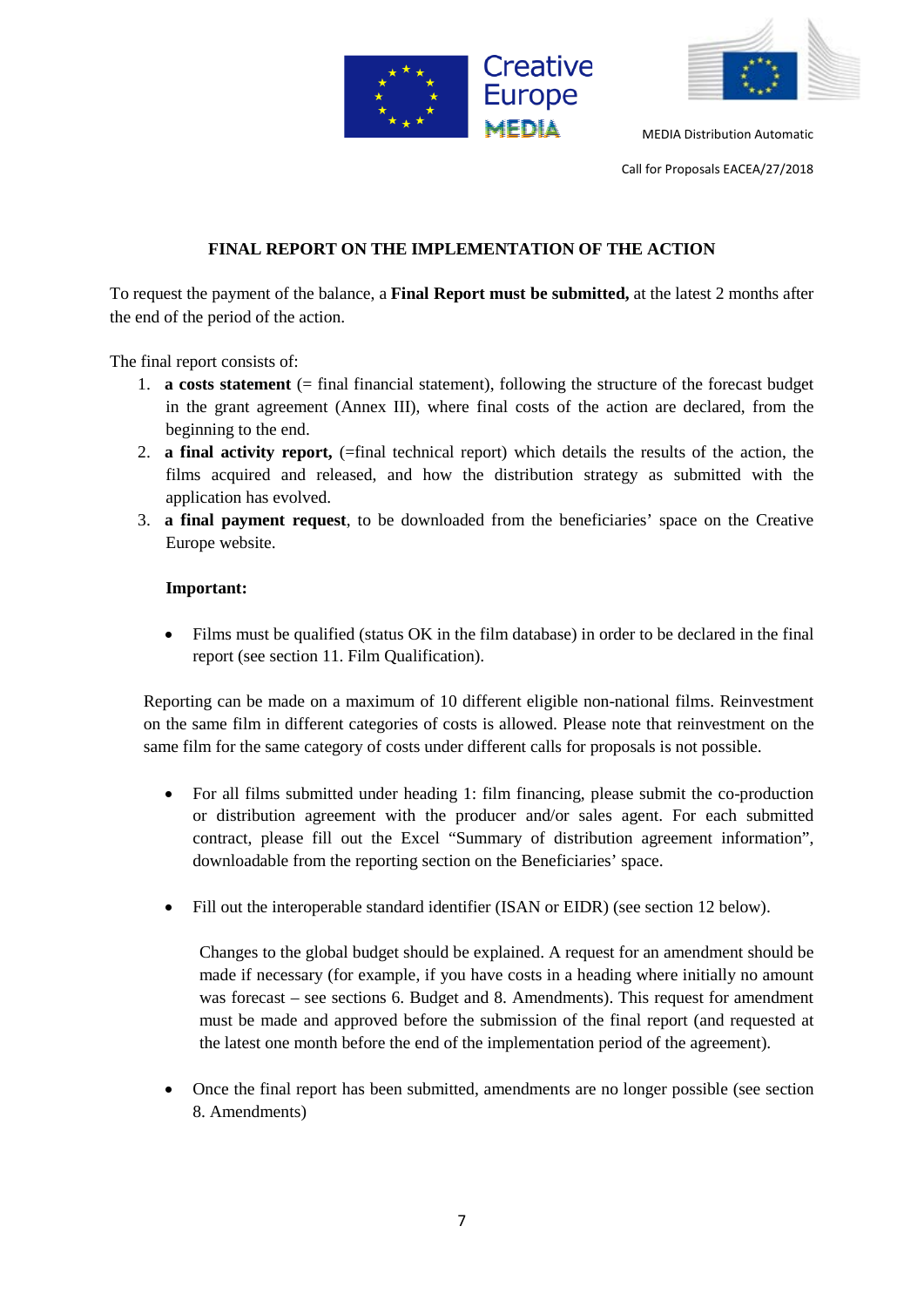



Call for Proposals EACEA/27/2018

# **FINAL REPORT ON THE IMPLEMENTATION OF THE ACTION**

To request the payment of the balance, a **Final Report must be submitted,** at the latest 2 months after the end of the period of the action.

The final report consists of:

- 1. **a costs statement** (= final financial statement), following the structure of the forecast budget in the grant agreement (Annex III), where final costs of the action are declared, from the beginning to the end.
- 2. **a final activity report,** (=final technical report) which details the results of the action, the films acquired and released, and how the distribution strategy as submitted with the application has evolved.
- 3. **a final payment request**, to be downloaded from the beneficiaries' space on the Creative Europe website.

#### **Important:**

• Films must be qualified (status OK in the film database) in order to be declared in the final report (see section 11. Film Qualification).

Reporting can be made on a maximum of 10 different eligible non-national films. Reinvestment on the same film in different categories of costs is allowed. Please note that reinvestment on the same film for the same category of costs under different calls for proposals is not possible.

- For all films submitted under heading 1: film financing, please submit the co-production or distribution agreement with the producer and/or sales agent. For each submitted contract, please fill out the Excel "Summary of distribution agreement information", downloadable from the reporting section on the Beneficiaries' space.
- Fill out the interoperable standard identifier (ISAN or EIDR) (see section 12 below).

Changes to the global budget should be explained. A request for an amendment should be made if necessary (for example, if you have costs in a heading where initially no amount was forecast – see sections 6. Budget and 8. Amendments). This request for amendment must be made and approved before the submission of the final report (and requested at the latest one month before the end of the implementation period of the agreement).

• Once the final report has been submitted, amendments are no longer possible (see section 8. Amendments)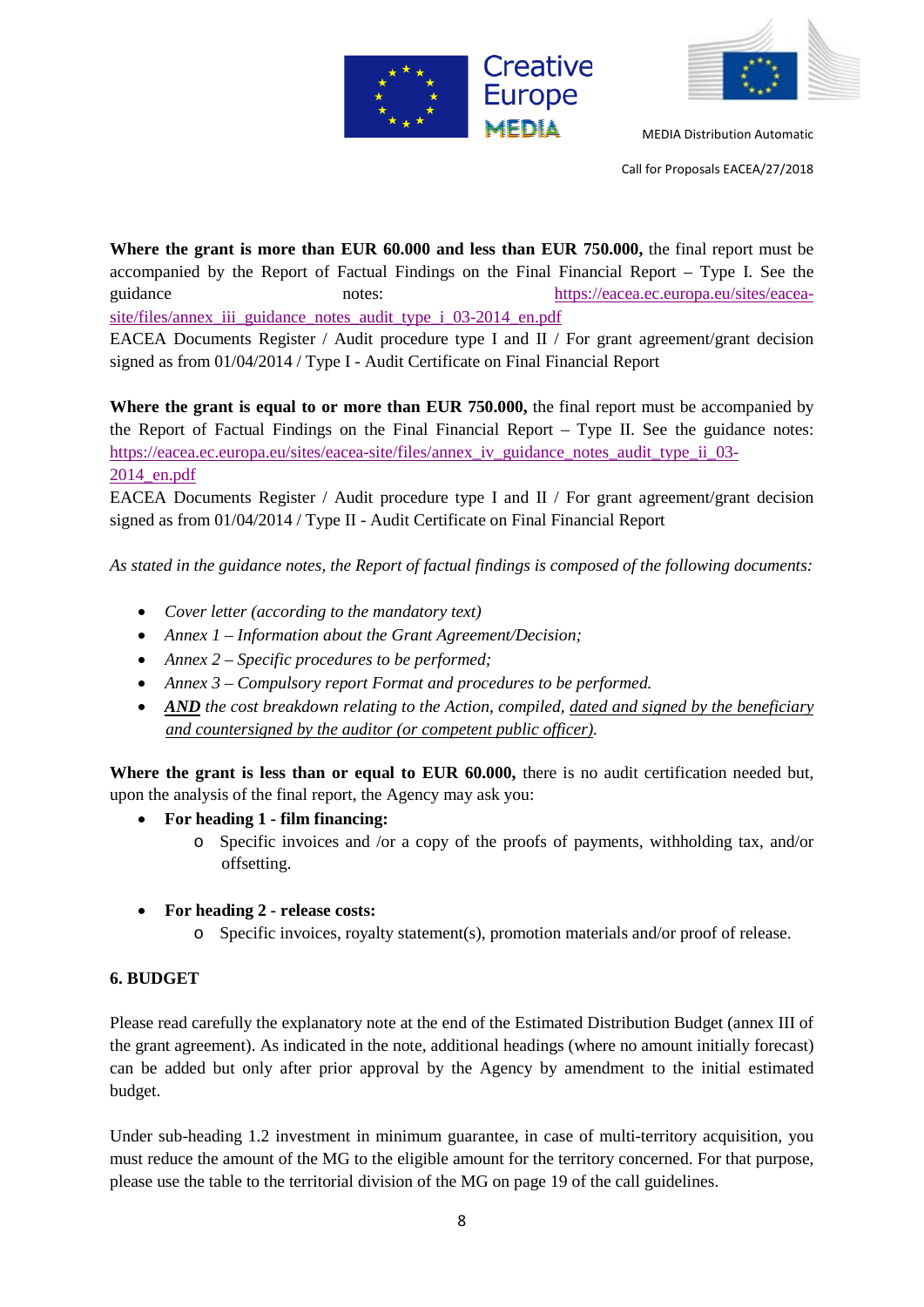



Call for Proposals EACEA/27/2018

**Where the grant is more than EUR 60.000 and less than EUR 750.000,** the final report must be accompanied by the Report of Factual Findings on the Final Financial Report – Type I. See the guidance notes: [https://eacea.ec.europa.eu/sites/eacea](https://eacea.ec.europa.eu/sites/eacea-site/files/annex_iii_guidance_notes_audit_type_i_03-2014_en.pdf)[site/files/annex\\_iii\\_guidance\\_notes\\_audit\\_type\\_i\\_03-2014\\_en.pdf](https://eacea.ec.europa.eu/sites/eacea-site/files/annex_iii_guidance_notes_audit_type_i_03-2014_en.pdf) EACEA Documents Register / Audit procedure type I and II / For grant agreement/grant decision signed as from 01/04/2014 / Type I - Audit Certificate on Final Financial Report

**Where the grant is equal to or more than EUR 750.000,** the final report must be accompanied by the Report of Factual Findings on the Final Financial Report – Type II. See the guidance notes: https://eacea.ec.europa.eu/sites/eacea-site/files/annex iv\_guidance\_notes\_audit\_type\_ii\_03-[2014\\_en.pdf](https://eacea.ec.europa.eu/sites/eacea-site/files/annex_iv_guidance_notes_audit_type_ii_03-2014_en.pdf)

EACEA Documents Register / Audit procedure type I and II / For grant agreement/grant decision signed as from 01/04/2014 / Type II - Audit Certificate on Final Financial Report

*As stated in the guidance notes, the Report of factual findings is composed of the following documents:* 

- *Cover letter (according to the mandatory text)*
- *Annex 1 – Information about the Grant Agreement/Decision;*
- *Annex 2 – Specific procedures to be performed;*
- *Annex 3 – Compulsory report Format and procedures to be performed.*
- *AND the cost breakdown relating to the Action, compiled, dated and signed by the beneficiary and countersigned by the auditor (or competent public officer).*

Where the grant is less than or equal to EUR 60.000, there is no audit certification needed but, upon the analysis of the final report, the Agency may ask you:

- **For heading 1 - film financing:** 
	- o Specific invoices and /or a copy of the proofs of payments, withholding tax, and/or offsetting.
- **For heading 2 - release costs:** 
	- o Specific invoices, royalty statement(s), promotion materials and/or proof of release.

# **6. BUDGET**

Please read carefully the explanatory note at the end of the Estimated Distribution Budget (annex III of the grant agreement). As indicated in the note, additional headings (where no amount initially forecast) can be added but only after prior approval by the Agency by amendment to the initial estimated budget.

Under sub-heading 1.2 investment in minimum guarantee, in case of multi-territory acquisition, you must reduce the amount of the MG to the eligible amount for the territory concerned. For that purpose, please use the table to the territorial division of the MG on page 19 of the call guidelines.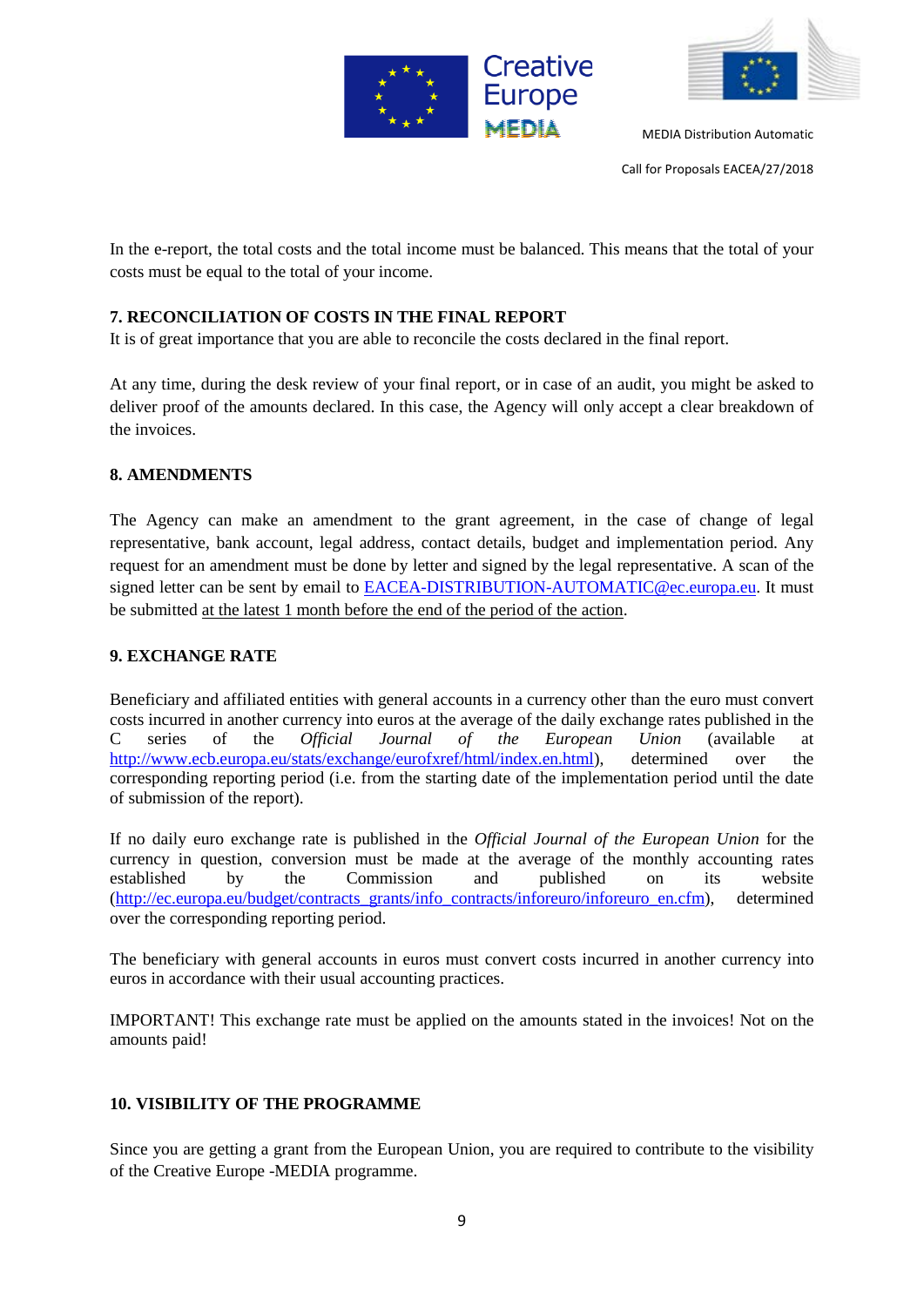



Call for Proposals EACEA/27/2018

In the e-report, the total costs and the total income must be balanced. This means that the total of your costs must be equal to the total of your income.

# **7. RECONCILIATION OF COSTS IN THE FINAL REPORT**

It is of great importance that you are able to reconcile the costs declared in the final report.

At any time, during the desk review of your final report, or in case of an audit, you might be asked to deliver proof of the amounts declared. In this case, the Agency will only accept a clear breakdown of the invoices.

#### **8. AMENDMENTS**

The Agency can make an amendment to the grant agreement, in the case of change of legal representative, bank account, legal address, contact details, budget and implementation period. Any request for an amendment must be done by letter and signed by the legal representative. A scan of the signed letter can be sent by email to [EACEA-DISTRIBUTION-AUTOMATIC@ec.europa.eu.](mailto:EACEA-DISTRIBUTION-AUTOMATIC@ec.europa.eu) It must be submitted at the latest 1 month before the end of the period of the action.

# **9. EXCHANGE RATE**

Beneficiary and affiliated entities with general accounts in a currency other than the euro must convert costs incurred in another currency into euros at the average of the daily exchange rates published in the C series of the *Official Journal of the European Union* (available at [http://www.ecb.europa.eu/stats/exchange/eurofxref/html/index.en.html\)](http://www.ecb.europa.eu/stats/exchange/eurofxref/html/index.en.html), determined over the corresponding reporting period (i.e. from the starting date of the implementation period until the date of submission of the report).

If no daily euro exchange rate is published in the *Official Journal of the European Union* for the currency in question, conversion must be made at the average of the monthly accounting rates established by the Commission and published on its website [\(http://ec.europa.eu/budget/contracts\\_grants/info\\_contracts/inforeuro/inforeuro\\_en.cfm\)](http://ec.europa.eu/budget/contracts_grants/info_contracts/inforeuro/inforeuro_en.cfm), determined over the corresponding reporting period.

The beneficiary with general accounts in euros must convert costs incurred in another currency into euros in accordance with their usual accounting practices.

IMPORTANT! This exchange rate must be applied on the amounts stated in the invoices! Not on the amounts paid!

# **10. VISIBILITY OF THE PROGRAMME**

Since you are getting a grant from the European Union, you are required to contribute to the visibility of the Creative Europe -MEDIA programme.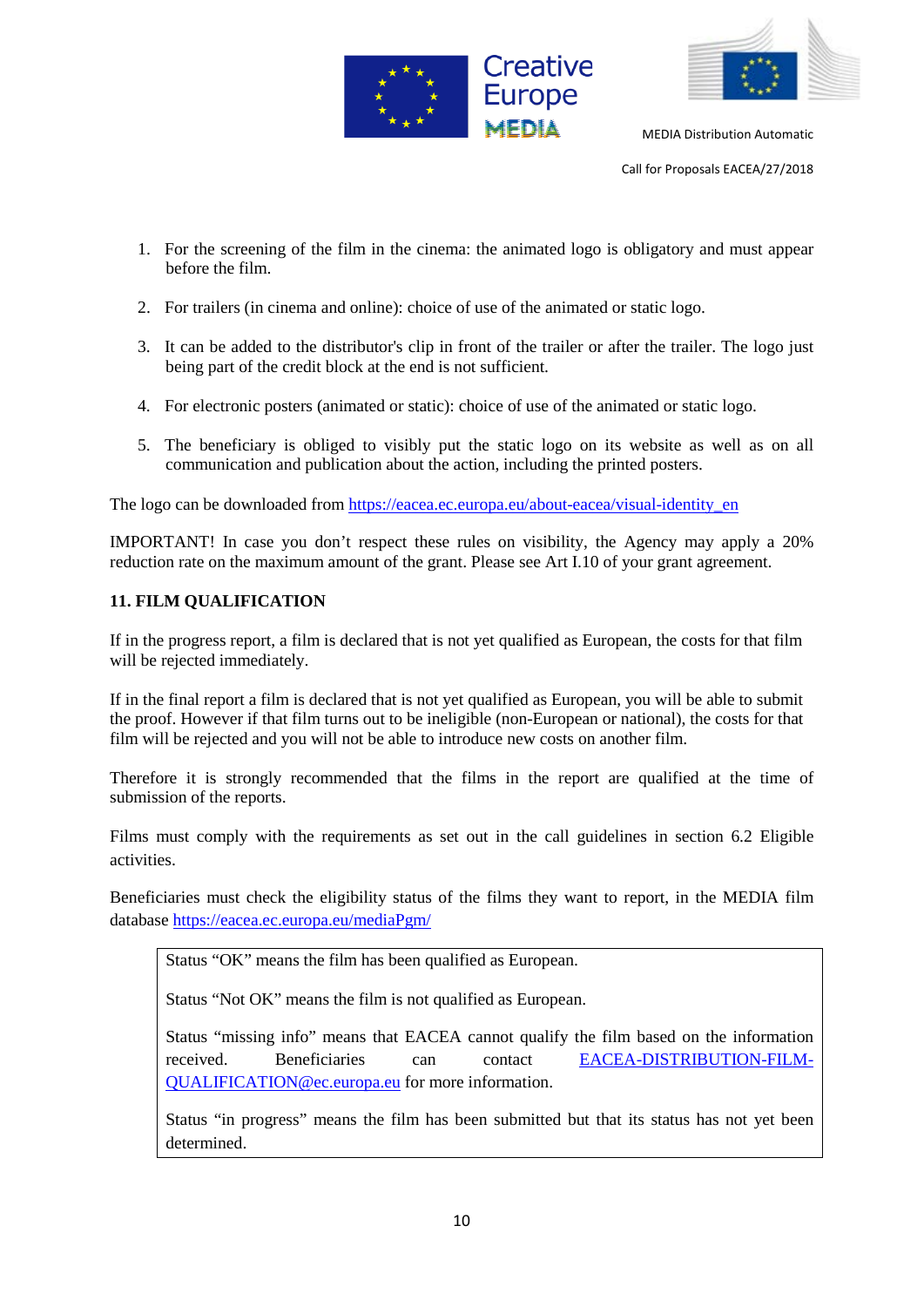



Call for Proposals EACEA/27/2018

- 1. For the screening of the film in the cinema: the animated logo is obligatory and must appear before the film.
- 2. For trailers (in cinema and online): choice of use of the animated or static logo.
- 3. It can be added to the distributor's clip in front of the trailer or after the trailer. The logo just being part of the credit block at the end is not sufficient.
- 4. For electronic posters (animated or static): choice of use of the animated or static logo.
- 5. The beneficiary is obliged to visibly put the static logo on its website as well as on all communication and publication about the action, including the printed posters.

The logo can be downloaded from [https://eacea.ec.europa.eu/about-eacea/visual-identity\\_en](https://eacea.ec.europa.eu/about-eacea/visual-identity_en)

IMPORTANT! In case you don't respect these rules on visibility, the Agency may apply a 20% reduction rate on the maximum amount of the grant. Please see Art I.10 of your grant agreement.

# **11. FILM QUALIFICATION**

If in the progress report, a film is declared that is not yet qualified as European, the costs for that film will be rejected immediately.

If in the final report a film is declared that is not yet qualified as European, you will be able to submit the proof. However if that film turns out to be ineligible (non-European or national), the costs for that film will be rejected and you will not be able to introduce new costs on another film.

Therefore it is strongly recommended that the films in the report are qualified at the time of submission of the reports.

Films must comply with the requirements as set out in the call guidelines in section 6.2 Eligible activities.

Beneficiaries must check the eligibility status of the films they want to report, in the MEDIA film database<https://eacea.ec.europa.eu/mediaPgm/>

Status "OK" means the film has been qualified as European.

Status "Not OK" means the film is not qualified as European.

Status "missing info" means that EACEA cannot qualify the film based on the information received. Beneficiaries can contact [EACEA-DISTRIBUTION-FILM-](mailto:EACEA-DISTRIBUTION-FILM-QUALIFICATION@ec.europa.eu)[QUALIFICATION@ec.europa.eu](mailto:EACEA-DISTRIBUTION-FILM-QUALIFICATION@ec.europa.eu) for more information.

Status "in progress" means the film has been submitted but that its status has not yet been determined.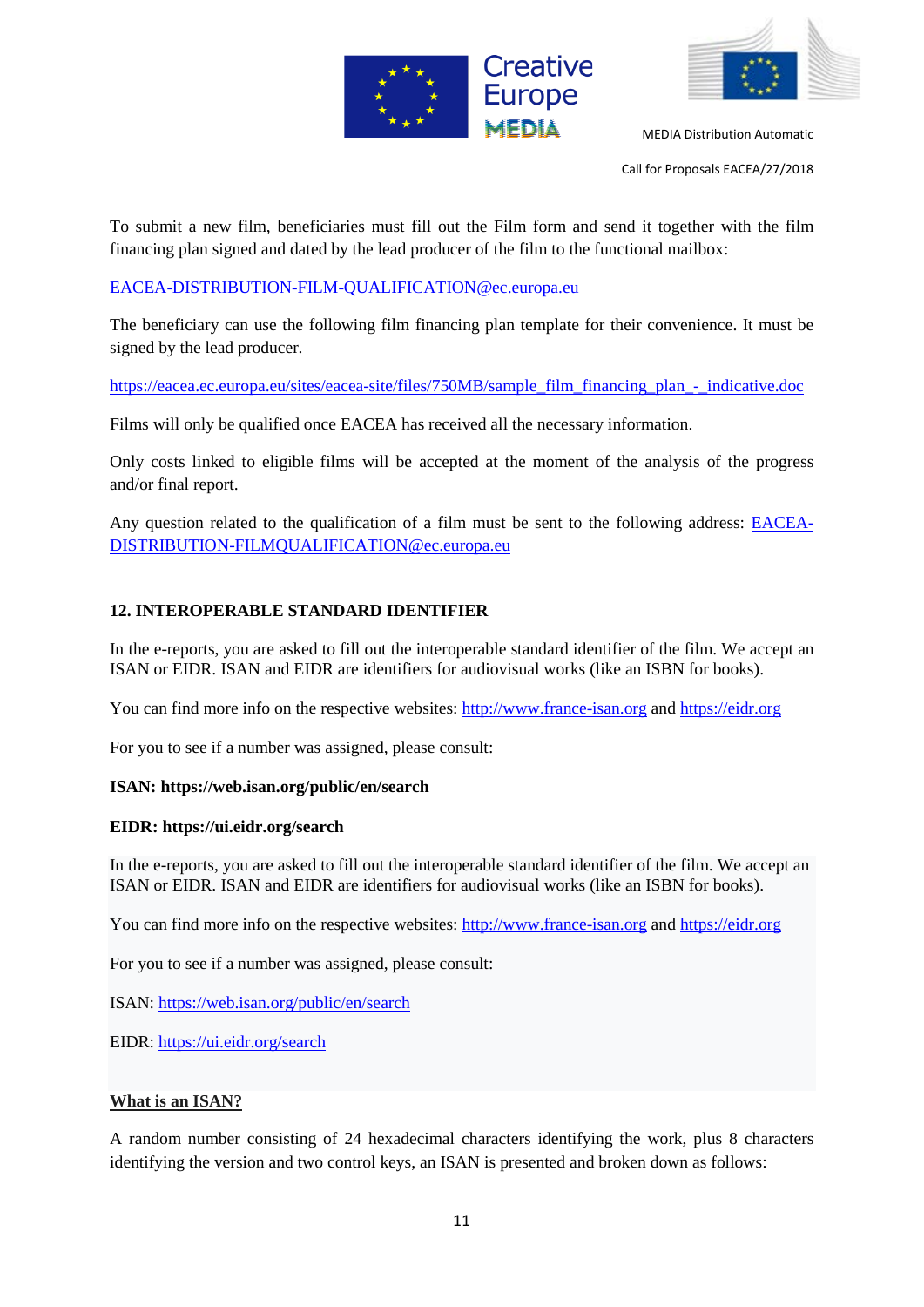



Call for Proposals EACEA/27/2018

To submit a new film, beneficiaries must fill out the Film form and send it together with the film financing plan signed and dated by the lead producer of the film to the functional mailbox:

[EACEA-DISTRIBUTION-FILM-QUALIFICATION@ec.europa.eu](mailto:EACEA-DISTRIBUTION-FILM-QUALIFICATION@ec.europa.eu)

The beneficiary can use the following film financing plan template for their convenience. It must be signed by the lead producer.

[https://eacea.ec.europa.eu/sites/eacea-site/files/750MB/sample\\_film\\_financing\\_plan\\_-\\_indicative.doc](https://eacea.ec.europa.eu/sites/eacea-site/files/750MB/sample_film_financing_plan_-_indicative.doc)

Films will only be qualified once EACEA has received all the necessary information.

Only costs linked to eligible films will be accepted at the moment of the analysis of the progress and/or final report.

Any question related to the qualification of a film must be sent to the following address: [EACEA-](mailto:EACEA-DISTRIBUTION-FILMQUALIFICATION@ec.europa.eu)[DISTRIBUTION-FILMQUALIFICATION@ec.europa.eu](mailto:EACEA-DISTRIBUTION-FILMQUALIFICATION@ec.europa.eu)

#### **12. INTEROPERABLE STANDARD IDENTIFIER**

In the e-reports, you are asked to fill out the interoperable standard identifier of the film. We accept an ISAN or EIDR. ISAN and EIDR are identifiers for audiovisual works (like an ISBN for books).

You can find more info on the respective websites: [http://www.france-isan.org](http://www.france-isan.org/) and [https://eidr.org](https://eidr.org/)

For you to see if a number was assigned, please consult:

#### **ISAN: https://web.isan.org/public/en/search**

#### **EIDR: https://ui.eidr.org/search**

In the e-reports, you are asked to fill out the interoperable standard identifier of the film. We accept an ISAN or EIDR. ISAN and EIDR are identifiers for audiovisual works (like an ISBN for books).

You can find more info on the respective websites: [http://www.france-isan.org](http://www.france-isan.org/) and [https://eidr.org](https://eidr.org/)

For you to see if a number was assigned, please consult:

ISAN:<https://web.isan.org/public/en/search>

EIDR:<https://ui.eidr.org/search>

#### **What is an ISAN?**

A random number consisting of 24 hexadecimal characters identifying the work, plus 8 characters identifying the version and two control keys, an ISAN is presented and broken down as follows: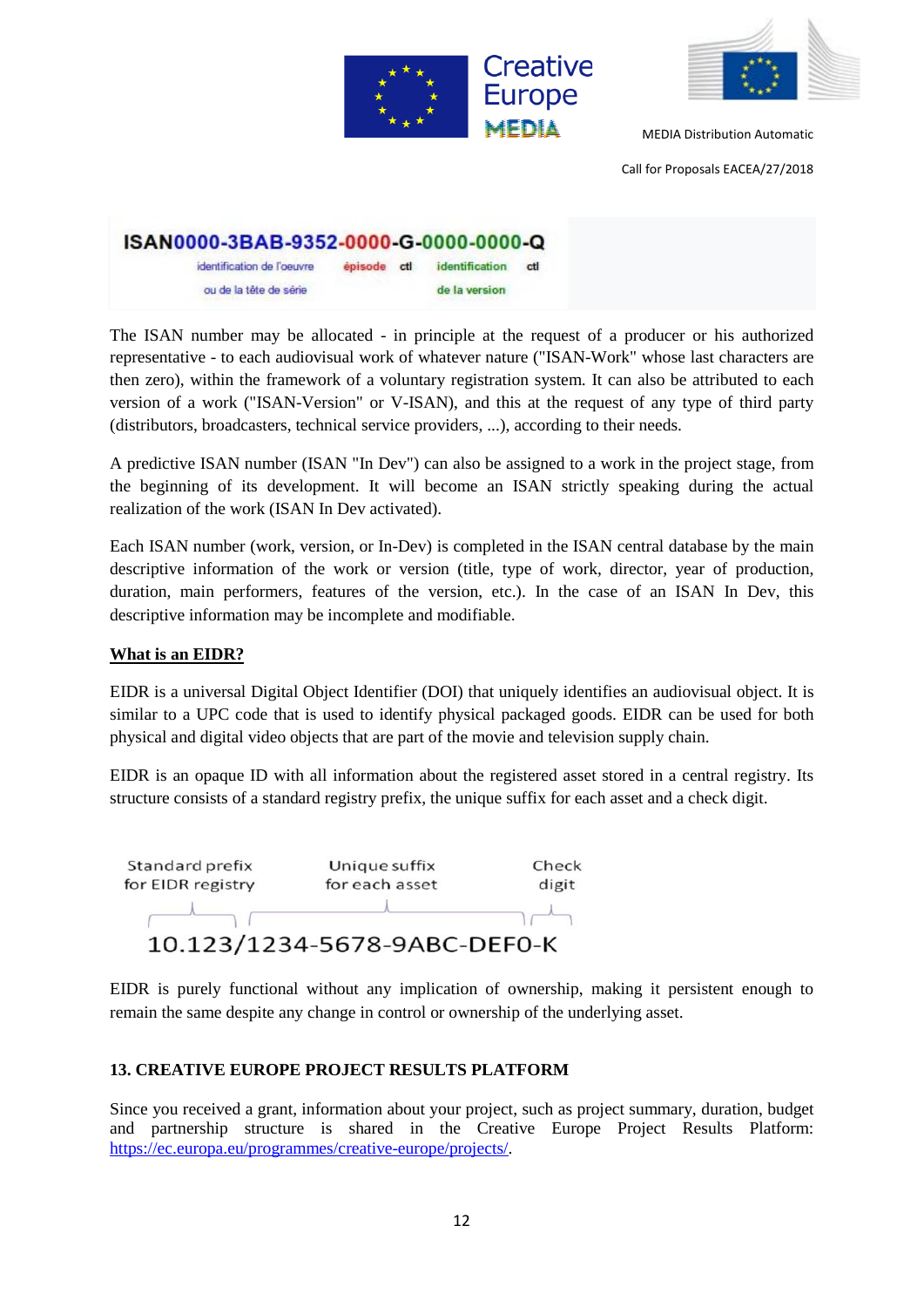



Call for Proposals EACEA/27/2018

| ISAN0000-3BAB-9352-0000-G-0000-0000-Q |             |                |     |
|---------------------------------------|-------------|----------------|-----|
| identification de l'oeuvre            | episode ctl | identification | ctl |
| ou de la tête de serie                |             | de la version  |     |

The ISAN number may be allocated - in principle at the request of a producer or his authorized representative - to each audiovisual work of whatever nature ("ISAN-Work" whose last characters are then zero), within the framework of a voluntary registration system. It can also be attributed to each version of a work ("ISAN-Version" or V-ISAN), and this at the request of any type of third party (distributors, broadcasters, technical service providers, ...), according to their needs.

A predictive ISAN number (ISAN "In Dev") can also be assigned to a work in the project stage, from the beginning of its development. It will become an ISAN strictly speaking during the actual realization of the work (ISAN In Dev activated).

Each ISAN number (work, version, or In-Dev) is completed in the ISAN central database by the main descriptive information of the work or version (title, type of work, director, year of production, duration, main performers, features of the version, etc.). In the case of an ISAN In Dev, this descriptive information may be incomplete and modifiable.

#### **What is an EIDR?**

EIDR is a universal Digital Object Identifier (DOI) that uniquely identifies an audiovisual object. It is similar to a UPC code that is used to identify physical packaged goods. EIDR can be used for both physical and digital video objects that are part of the movie and television supply chain.

EIDR is an opaque ID with all information about the registered asset stored in a central registry. Its structure consists of a standard registry prefix, the unique suffix for each asset and a check digit.



EIDR is purely functional without any implication of ownership, making it persistent enough to remain the same despite any change in control or ownership of the underlying asset.

# **13. CREATIVE EUROPE PROJECT RESULTS PLATFORM**

Since you received a grant, information about your project, such as project summary, duration, budget and partnership structure is shared in the Creative Europe Project Results Platform: [https://ec.europa.eu/programmes/creative-europe/projects/.](https://ec.europa.eu/programmes/creative-europe/projects/)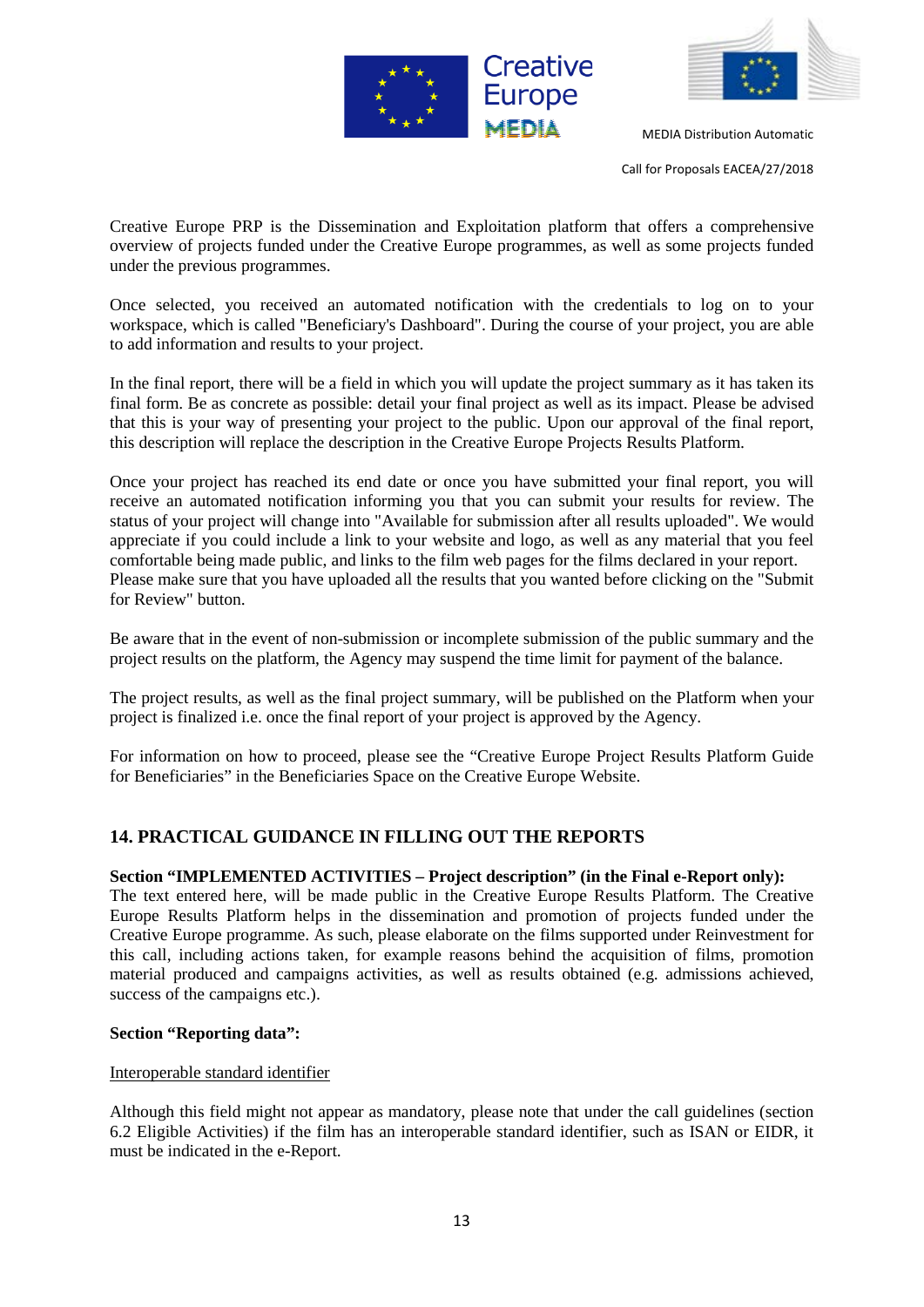



Call for Proposals EACEA/27/2018

Creative Europe PRP is the Dissemination and Exploitation platform that offers a comprehensive overview of projects funded under the Creative Europe programmes, as well as some projects funded under the previous programmes.

Once selected, you received an automated notification with the credentials to log on to your workspace, which is called "Beneficiary's Dashboard". During the course of your project, you are able to add information and results to your project.

In the final report, there will be a field in which you will update the project summary as it has taken its final form. Be as concrete as possible: detail your final project as well as its impact. Please be advised that this is your way of presenting your project to the public. Upon our approval of the final report, this description will replace the description in the Creative Europe Projects Results Platform.

Once your project has reached its end date or once you have submitted your final report, you will receive an automated notification informing you that you can submit your results for review. The status of your project will change into "Available for submission after all results uploaded". We would appreciate if you could include a link to your website and logo, as well as any material that you feel comfortable being made public, and links to the film web pages for the films declared in your report. Please make sure that you have uploaded all the results that you wanted before clicking on the "Submit for Review" button.

Be aware that in the event of non-submission or incomplete submission of the public summary and the project results on the platform, the Agency may suspend the time limit for payment of the balance.

The project results, as well as the final project summary, will be published on the Platform when your project is finalized i.e. once the final report of your project is approved by the Agency.

For information on how to proceed, please see the "Creative Europe Project Results Platform Guide for Beneficiaries" in the Beneficiaries Space on the Creative Europe Website.

# **14. PRACTICAL GUIDANCE IN FILLING OUT THE REPORTS**

#### **Section "IMPLEMENTED ACTIVITIES – Project description" (in the Final e-Report only):**

The text entered here, will be made public in the Creative Europe Results Platform. The Creative Europe Results Platform helps in the dissemination and promotion of projects funded under the Creative Europe programme. As such, please elaborate on the films supported under Reinvestment for this call, including actions taken, for example reasons behind the acquisition of films, promotion material produced and campaigns activities, as well as results obtained (e.g. admissions achieved, success of the campaigns etc.).

#### **Section "Reporting data":**

#### Interoperable standard identifier

Although this field might not appear as mandatory, please note that under the call guidelines (section 6.2 Eligible Activities) if the film has an interoperable standard identifier, such as ISAN or EIDR, it must be indicated in the e-Report.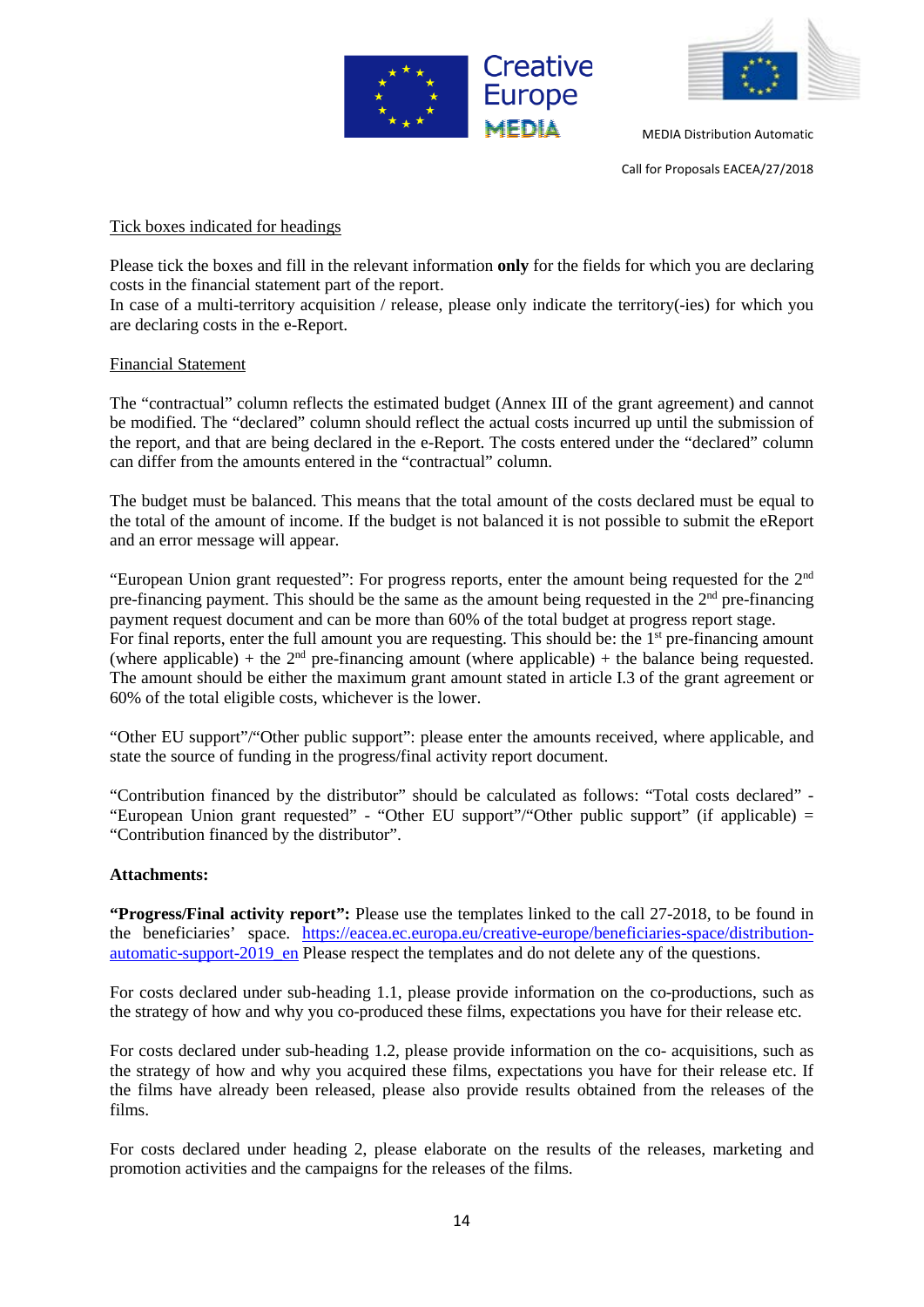



Call for Proposals EACEA/27/2018

#### Tick boxes indicated for headings

Please tick the boxes and fill in the relevant information **only** for the fields for which you are declaring costs in the financial statement part of the report.

In case of a multi-territory acquisition / release, please only indicate the territory(-ies) for which you are declaring costs in the e-Report.

#### Financial Statement

The "contractual" column reflects the estimated budget (Annex III of the grant agreement) and cannot be modified. The "declared" column should reflect the actual costs incurred up until the submission of the report, and that are being declared in the e-Report. The costs entered under the "declared" column can differ from the amounts entered in the "contractual" column.

The budget must be balanced. This means that the total amount of the costs declared must be equal to the total of the amount of income. If the budget is not balanced it is not possible to submit the eReport and an error message will appear.

"European Union grant requested": For progress reports, enter the amount being requested for the 2nd pre-financing payment. This should be the same as the amount being requested in the 2<sup>nd</sup> pre-financing payment request document and can be more than 60% of the total budget at progress report stage. For final reports, enter the full amount you are requesting. This should be: the 1<sup>st</sup> pre-financing amount (where applicable) + the  $2<sup>nd</sup>$  pre-financing amount (where applicable) + the balance being requested. The amount should be either the maximum grant amount stated in article I.3 of the grant agreement or 60% of the total eligible costs, whichever is the lower.

"Other EU support"/"Other public support": please enter the amounts received, where applicable, and state the source of funding in the progress/final activity report document.

"Contribution financed by the distributor" should be calculated as follows: "Total costs declared" - "European Union grant requested" - "Other EU support"/"Other public support" (if applicable) = "Contribution financed by the distributor".

#### **Attachments:**

**"Progress/Final activity report":** Please use the templates linked to the call 27-2018, to be found in the beneficiaries' space. [https://eacea.ec.europa.eu/creative-europe/beneficiaries-space/distribution](https://eacea.ec.europa.eu/creative-europe/beneficiaries-space/distribution-automatic-support-2019_en)automatic-support-2019 en Please respect the templates and do not delete any of the questions.

For costs declared under sub-heading 1.1, please provide information on the co-productions, such as the strategy of how and why you co-produced these films, expectations you have for their release etc.

For costs declared under sub-heading 1.2, please provide information on the co- acquisitions, such as the strategy of how and why you acquired these films, expectations you have for their release etc. If the films have already been released, please also provide results obtained from the releases of the films.

For costs declared under heading 2, please elaborate on the results of the releases, marketing and promotion activities and the campaigns for the releases of the films.